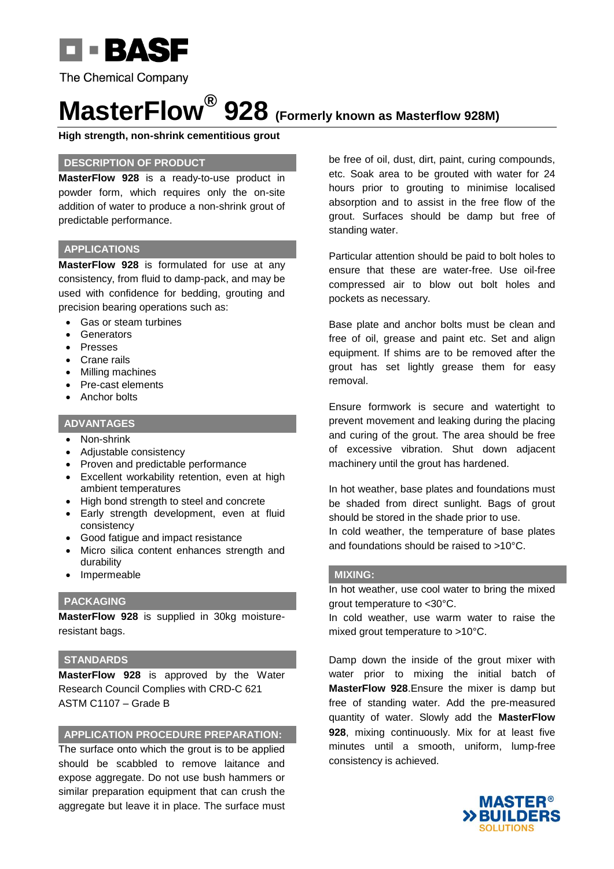

# **MasterFlow® 928 (Formerly known as Masterflow 928M)**

**High strength, non-shrink cementitious grout**

#### **DESCRIPTION OF PRODUCT**

**MasterFlow 928** is a ready-to-use product in powder form, which requires only the on-site addition of water to produce a non-shrink grout of predictable performance.

### **APPLICATIONS**

**MasterFlow 928** is formulated for use at any consistency, from fluid to damp-pack, and may be used with confidence for bedding, grouting and precision bearing operations such as:

- Gas or steam turbines
- Generators
- Presses
- Crane rails
- Milling machines
- Pre-cast elements
- Anchor bolts

## **ADVANTAGES**

- Non-shrink
- Adjustable consistency
- Proven and predictable performance
- Excellent workability retention, even at high ambient temperatures
- High bond strength to steel and concrete
- Early strength development, even at fluid consistency
- Good fatigue and impact resistance
- Micro silica content enhances strength and durability
- Impermeable

#### **PACKAGING**

**MasterFlow 928** is supplied in 30kg moistureresistant bags.

### **STANDARDS**

**MasterFlow 928** is approved by the Water Research Council Complies with CRD-C 621 ASTM C1107 – Grade B

#### **APPLICATION PROCEDURE PREPARATION:**

The surface onto which the grout is to be applied should be scabbled to remove laitance and expose aggregate. Do not use bush hammers or similar preparation equipment that can crush the aggregate but leave it in place. The surface must be free of oil, dust, dirt, paint, curing compounds, etc. Soak area to be grouted with water for 24 hours prior to grouting to minimise localised absorption and to assist in the free flow of the grout. Surfaces should be damp but free of standing water.

Particular attention should be paid to bolt holes to ensure that these are water-free. Use oil-free compressed air to blow out bolt holes and pockets as necessary.

Base plate and anchor bolts must be clean and free of oil, grease and paint etc. Set and align equipment. If shims are to be removed after the grout has set lightly grease them for easy removal.

Ensure formwork is secure and watertight to prevent movement and leaking during the placing and curing of the grout. The area should be free of excessive vibration. Shut down adjacent machinery until the grout has hardened.

In hot weather, base plates and foundations must be shaded from direct sunlight. Bags of grout should be stored in the shade prior to use.

In cold weather, the temperature of base plates and foundations should be raised to >10°C.

#### **MIXING:**

In hot weather, use cool water to bring the mixed grout temperature to <30°C.

In cold weather, use warm water to raise the mixed grout temperature to >10°C.

Damp down the inside of the grout mixer with water prior to mixing the initial batch of **MasterFlow 928**.Ensure the mixer is damp but free of standing water. Add the pre-measured quantity of water. Slowly add the **MasterFlow 928**, mixing continuously. Mix for at least five minutes until a smooth, uniform, lump-free consistency is achieved.

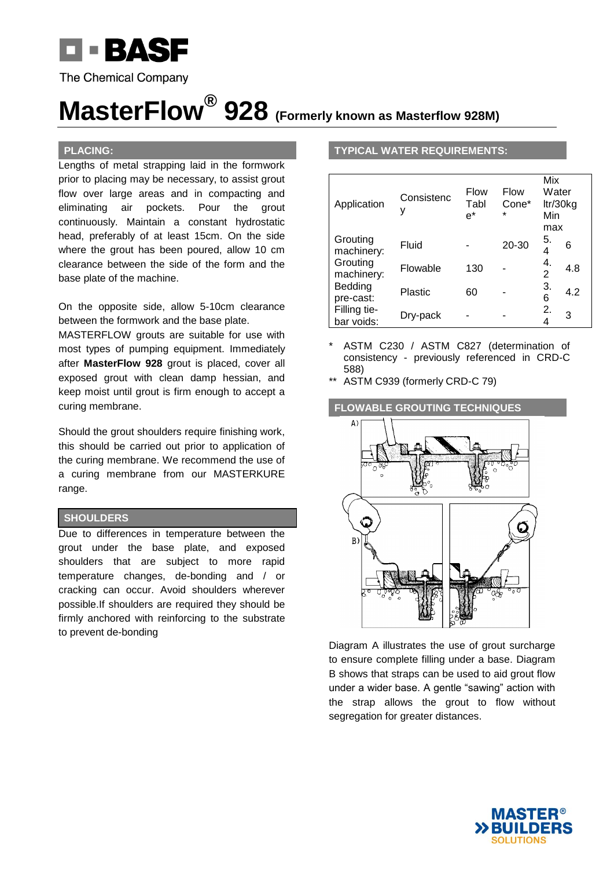

# **MasterFlow® 928 (Formerly known as Masterflow 928M)**

#### **PLACING:**

Lengths of metal strapping laid in the formwork prior to placing may be necessary, to assist grout flow over large areas and in compacting and eliminating air pockets. Pour the grout continuously. Maintain a constant hydrostatic head, preferably of at least 15cm. On the side where the grout has been poured, allow 10 cm clearance between the side of the form and the base plate of the machine.

On the opposite side, allow 5-10cm clearance between the formwork and the base plate.

MASTERFLOW grouts are suitable for use with most types of pumping equipment. Immediately after **MasterFlow 928** grout is placed, cover all exposed grout with clean damp hessian, and keep moist until grout is firm enough to accept a curing membrane.

Should the grout shoulders require finishing work, this should be carried out prior to application of the curing membrane. We recommend the use of a curing membrane from our MASTERKURE range.

#### **SHOULDERS**

Due to differences in temperature between the grout under the base plate, and exposed shoulders that are subject to more rapid temperature changes, de-bonding and / or cracking can occur. Avoid shoulders wherever possible.If shoulders are required they should be firmly anchored with reinforcing to the substrate to prevent de-bonding

#### **TYPICAL WATER REQUIREMENTS:**

| Application                | Consistenc<br>y | Flow<br>Tabl | Flow<br>Cone*<br>$\star$ | Mix<br>Water | ltr/30kg |
|----------------------------|-----------------|--------------|--------------------------|--------------|----------|
|                            |                 | $e^*$        |                          | Min<br>max   |          |
| Grouting<br>machinery:     | Fluid           |              | 20-30                    | 5.<br>4      | 6        |
| Grouting<br>machinery:     | Flowable        | 130          |                          | 4.<br>2      | 4.8      |
| Bedding<br>pre-cast:       | Plastic         | 60           |                          | 3.<br>6      | 4.2      |
| Filling tie-<br>bar voids: | Dry-pack        |              |                          | 2.<br>4      | 3        |

ASTM C230 / ASTM C827 (determination of consistency - previously referenced in CRD-C 588)

ASTM C939 (formerly CRD-C 79)



Diagram A illustrates the use of grout surcharge to ensure complete filling under a base. Diagram B shows that straps can be used to aid grout flow under a wider base. A gentle "sawing" action with the strap allows the grout to flow without segregation for greater distances.

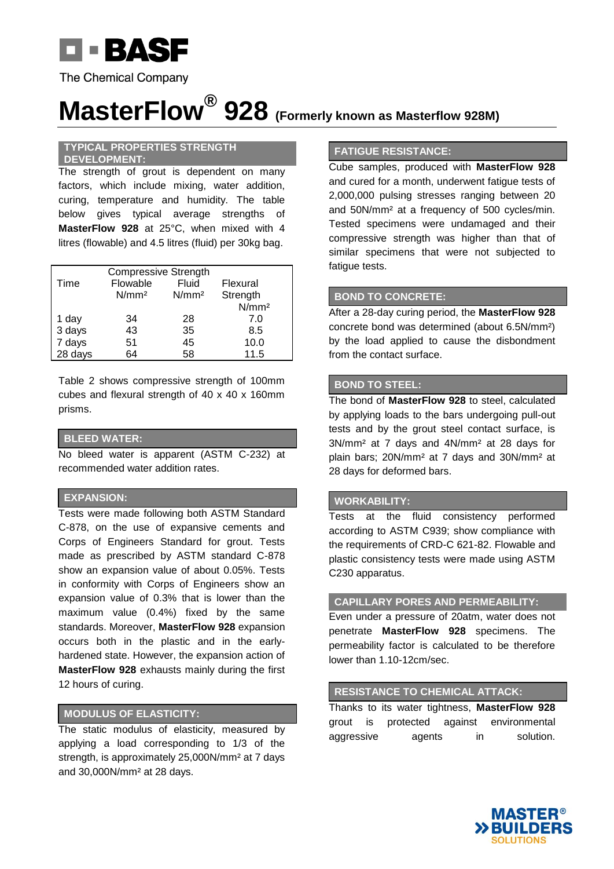

# **MasterFlow® 928 (Formerly known as Masterflow 928M)**

#### **TYPICAL PROPERTIES STRENGTH DEVELOPMENT:**

The strength of grout is dependent on many factors, which include mixing, water addition, curing, temperature and humidity. The table below gives typical average strengths of **MasterFlow 928** at 25°C, when mixed with 4 litres (flowable) and 4.5 litres (fluid) per 30kg bag.

| <b>Compressive Strength</b> |                   |                   |                   |  |  |  |
|-----------------------------|-------------------|-------------------|-------------------|--|--|--|
| Time                        | Flowable          | Fluid             | Flexural          |  |  |  |
|                             | N/mm <sup>2</sup> | N/mm <sup>2</sup> | Strength          |  |  |  |
|                             |                   |                   | N/mm <sup>2</sup> |  |  |  |
| 1 day                       | 34                | 28                | 7.0               |  |  |  |
| 3 days                      | 43                | 35                | 8.5               |  |  |  |
| 7 days                      | 51                | 45                | 10.0              |  |  |  |
| 28 days                     | 64                | 58                | 11.5              |  |  |  |

Table 2 shows compressive strength of 100mm cubes and flexural strength of 40 x 40 x 160mm prisms.

#### **BLEED WATER:**

No bleed water is apparent (ASTM C-232) at recommended water addition rates.

#### **EXPANSION:**

Tests were made following both ASTM Standard C-878, on the use of expansive cements and Corps of Engineers Standard for grout. Tests made as prescribed by ASTM standard C-878 show an expansion value of about 0.05%. Tests in conformity with Corps of Engineers show an expansion value of 0.3% that is lower than the maximum value (0.4%) fixed by the same standards. Moreover, **MasterFlow 928** expansion occurs both in the plastic and in the earlyhardened state. However, the expansion action of **MasterFlow 928** exhausts mainly during the first 12 hours of curing.

## **MODULUS OF ELASTICITY:**

The static modulus of elasticity, measured by applying a load corresponding to 1/3 of the strength, is approximately 25,000N/mm² at 7 days and 30,000N/mm² at 28 days.

#### **FATIGUE RESISTANCE:**

Cube samples, produced with **MasterFlow 928** and cured for a month, underwent fatigue tests of 2,000,000 pulsing stresses ranging between 20 and 50N/mm² at a frequency of 500 cycles/min. Tested specimens were undamaged and their compressive strength was higher than that of similar specimens that were not subjected to fatigue tests.

## **BOND TO CONCRETE:**

After a 28-day curing period, the **MasterFlow 928** concrete bond was determined (about 6.5N/mm²) by the load applied to cause the disbondment from the contact surface.

#### **BOND TO STEEL:**

The bond of **MasterFlow 928** to steel, calculated by applying loads to the bars undergoing pull-out tests and by the grout steel contact surface, is 3N/mm² at 7 days and 4N/mm² at 28 days for plain bars; 20N/mm² at 7 days and 30N/mm² at 28 days for deformed bars.

#### **WORKABILITY:**

Tests at the fluid consistency performed according to ASTM C939; show compliance with the requirements of CRD-C 621-82. Flowable and plastic consistency tests were made using ASTM C230 apparatus.

## **CAPILLARY PORES AND PERMEABILITY:**

Even under a pressure of 20atm, water does not penetrate **MasterFlow 928** specimens. The permeability factor is calculated to be therefore lower than 1.10-12cm/sec.

#### **RESISTANCE TO CHEMICAL ATTACK:**

Thanks to its water tightness, **MasterFlow 928** grout is protected against environmental aggressive agents in solution.

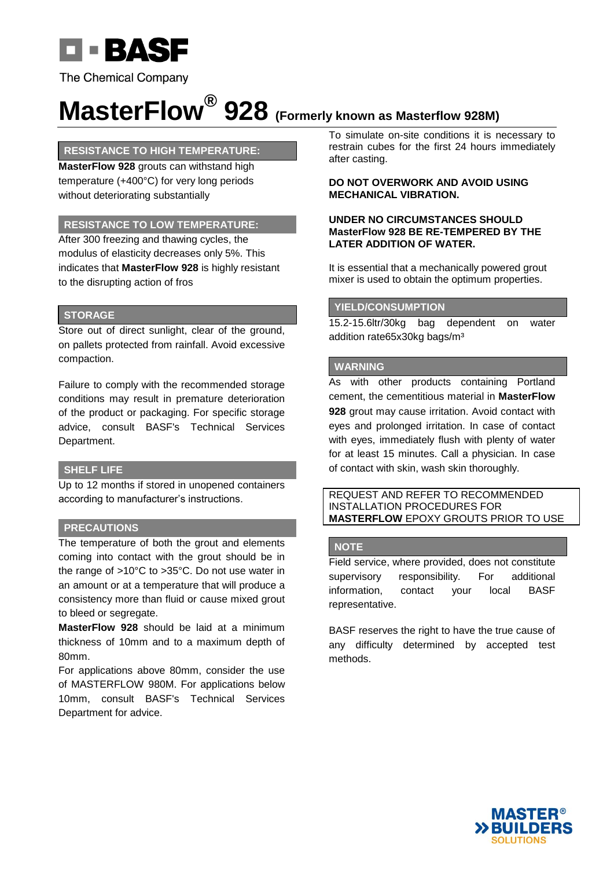

# **MasterFlow® 928 (Formerly known as Masterflow 928M)**

### **RESISTANCE TO HIGH TEMPERATURE:**

**MasterFlow 928** grouts can withstand high temperature (+400°C) for very long periods without deteriorating substantially

### **RESISTANCE TO LOW TEMPERATURE:**

After 300 freezing and thawing cycles, the modulus of elasticity decreases only 5%. This indicates that **MasterFlow 928** is highly resistant to the disrupting action of fros

#### **STORAGE**

Store out of direct sunlight, clear of the ground, on pallets protected from rainfall. Avoid excessive compaction.

Failure to comply with the recommended storage conditions may result in premature deterioration of the product or packaging. For specific storage advice, consult BASF's Technical Services Department.

#### **SHELF LIFE**

Up to 12 months if stored in unopened containers according to manufacturer's instructions.

## **PRECAUTIONS**

The temperature of both the grout and elements coming into contact with the grout should be in the range of >10°C to >35°C. Do not use water in an amount or at a temperature that will produce a consistency more than fluid or cause mixed grout to bleed or segregate.

**MasterFlow 928** should be laid at a minimum thickness of 10mm and to a maximum depth of 80mm.

For applications above 80mm, consider the use of MASTERFLOW 980M. For applications below 10mm, consult BASF's Technical Services Department for advice.

To simulate on-site conditions it is necessary to restrain cubes for the first 24 hours immediately after casting.

#### **DO NOT OVERWORK AND AVOID USING MECHANICAL VIBRATION.**

#### **UNDER NO CIRCUMSTANCES SHOULD MasterFlow 928 BE RE-TEMPERED BY THE LATER ADDITION OF WATER.**

It is essential that a mechanically powered grout mixer is used to obtain the optimum properties.

### **YIELD/CONSUMPTION**

15.2-15.6ltr/30kg bag dependent on water addition rate65x30kg bags/m³

### **WARNING**

As with other products containing Portland cement, the cementitious material in **MasterFlow 928** grout may cause irritation. Avoid contact with eyes and prolonged irritation. In case of contact with eyes, immediately flush with plenty of water for at least 15 minutes. Call a physician. In case of contact with skin, wash skin thoroughly.

REQUEST AND REFER TO RECOMMENDED INSTALLATION PROCEDURES FOR **MASTERFLOW** EPOXY GROUTS PRIOR TO USE

#### **NOTE**

Field service, where provided, does not constitute supervisory responsibility. For additional information, contact your local BASF representative.

BASF reserves the right to have the true cause of any difficulty determined by accepted test methods.